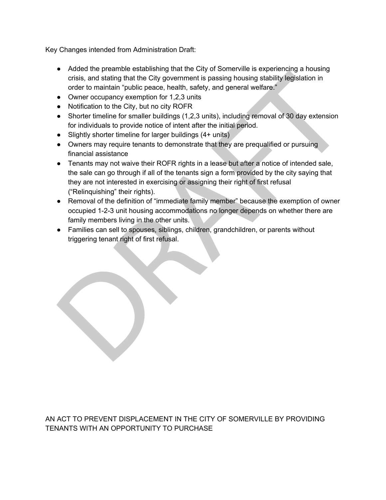Key Changes intended from Administration Draft:

- Added the preamble establishing that the City of Somerville is experiencing a housing crisis, and stating that the City government is passing housing stability legislation in order to maintain "public peace, health, safety, and general welfare."
- Owner occupancy exemption for 1,2,3 units
- Notification to the City, but no city ROFR
- Shorter timeline for smaller buildings (1,2,3 units), including removal of 30 day extension for individuals to provide notice of intent after the initial period.
- Slightly shorter timeline for larger buildings (4+ units)
- Owners may require tenants to demonstrate that they are prequalified or pursuing financial assistance
- Tenants may not waive their ROFR rights in a lease but after a notice of intended sale, the sale can go through if all of the tenants sign a form provided by the city saying that they are not interested in exercising or assigning their right of first refusal ("Relinquishing" their rights).
- Removal of the definition of "immediate family member" because the exemption of owner occupied 1-2-3 unit housing accommodations no longer depends on whether there are family members living in the other units.
- Families can sell to spouses, siblings, children, grandchildren, or parents without triggering tenant right of first refusal.

AN ACT TO PREVENT DISPLACEMENT IN THE CITY OF SOMERVILLE BY PROVIDING TENANTS WITH AN OPPORTUNITY TO PURCHASE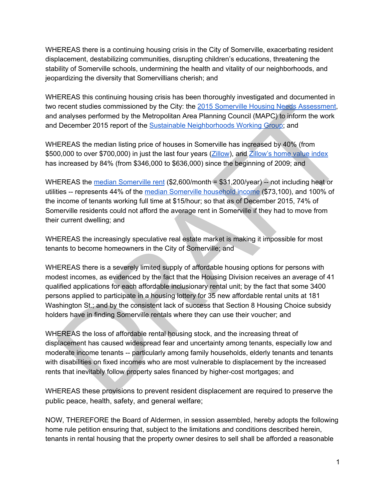WHEREAS there is a continuing housing crisis in the City of Somerville, exacerbating resident displacement, destabilizing communities, disrupting children's educations, threatening the stability of Somerville schools, undermining the health and vitality of our neighborhoods, and jeopardizing the diversity that Somervillians cherish; and

WHEREAS this continuing housing crisis has been thoroughly investigated and documented in two recent studies commissioned by the City: the 2015 Somerville Housing Needs [Assessment](http://www.somervillezoning.com/wp-content/uploads/sites/2/2017/02/Somerville-HNA-2015-FINAL.-Transmitted-12-3-15.pdf), and analyses performed by the Metropolitan Area Planning Council (MAPC) to inform the work and December 2015 report of the Sustainable [Neighborhoods](http://somervillecityma.iqm2.com/Citizens/FileOpen.aspx?Type=4&ID=8047&MeetingID=2186) Working Group; and

WHEREAS the median listing price of houses in Somerville has increased by 40% (from \$500,000 to over \$700,000) in just the last four years [\(Zillow](https://www.zillow.com/somerville-ma/home-values/)), an[d](https://www.zillow.com/somerville-ma/home-values/) [Zillow's](https://www.zillow.com/somerville-ma/home-values/) home value index has increased by 84% (from \$346,000 to \$636,000) since the beginning of 2009; and

WHEREAS the median [Somerville](https://www.zillow.com/somerville-ma/home-values/) rent (\$2,600/month = \$31,200/year) -- not including heat or utilities -- represents 44% of the median [Somerville](https://datausa.io/profile/geo/somerville-ma/) household income (\$73,100), and 100% of the income of tenants working full time at \$15/hour; so that as of December 2015, 74% of Somerville residents could not afford the average rent in Somerville if they had to move from their current dwelling; and

WHEREAS the increasingly speculative real estate market is making it impossible for most tenants to become homeowners in the City of Somerville; and

WHEREAS there is a severely limited supply of affordable housing options for persons with modest incomes, as evidenced by the fact that the Housing Division receives an average of 41 qualified applications for each affordable inclusionary rental unit; by the fact that some 3400 persons applied to participate in a housing lottery for 35 new affordable rental units at 181 Washington St.; and by the consistent lack of success that Section 8 Housing Choice subsidy holders have in finding Somerville rentals where they can use their voucher; and

WHEREAS the loss of affordable rental housing stock, and the increasing threat of displacement has caused widespread fear and uncertainty among tenants, especially low and moderate income tenants -- particularly among family households, elderly tenants and tenants with disabilities on fixed incomes who are most vulnerable to displacement by the increased rents that inevitably follow property sales financed by higher-cost mortgages; and

WHEREAS these provisions to prevent resident displacement are required to preserve the public peace, health, safety, and general welfare;

NOW, THEREFORE the Board of Aldermen, in session assembled, hereby adopts the following home rule petition ensuring that, subject to the limitations and conditions described herein, tenants in rental housing that the property owner desires to sell shall be afforded a reasonable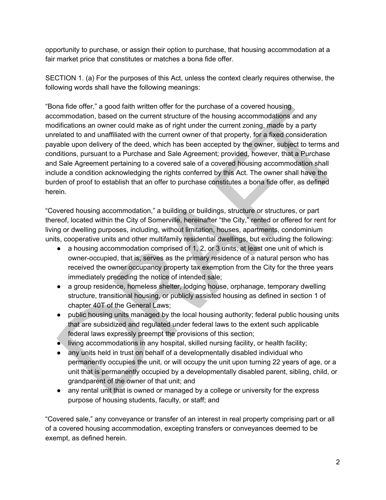opportunity to purchase, or assign their option to purchase, that housing accommodation at a fair market price that constitutes or matches a bona fide offer.

SECTION 1. (a) For the purposes of this Act, unless the context clearly requires otherwise, the following words shall have the following meanings:

"Bona fide offer," a good faith written offer for the purchase of a covered housing accommodation, based on the current structure of the housing accommodations and any modifications an owner could make as of right under the current zoning, made by a party unrelated to and unaffiliated with the current owner of that property, for a fixed consideration payable upon delivery of the deed, which has been accepted by the owner, subject to terms and conditions, pursuant to a Purchase and Sale Agreement; provided, however, that a Purchase and Sale Agreement pertaining to a covered sale of a covered housing accommodation shall include a condition acknowledging the rights conferred by this Act. The owner shall have the burden of proof to establish that an offer to purchase constitutes a bona fide offer, as defined herein.

"Covered housing accommodation," a building or buildings, structure or structures, or part thereof, located within the City of Somerville, hereinafter "the City," rented or offered for rent for living or dwelling purposes, including, without limitation, houses, apartments, condominium units, cooperative units and other multifamily residential dwellings, but excluding the following:

- a housing accommodation comprised of 1, 2, or 3 units, at least one unit of which is owner-occupied, that is, serves as the primary residence of a natural person who has received the owner occupancy property tax exemption from the City for the three years immediately preceding the notice of intended sale;
- a group residence, homeless shelter, lodging house, orphanage, temporary dwelling structure, transitional housing, or publicly assisted housing as defined in section 1 of chapter 40T of the General Laws;
- public housing units managed by the local housing authority; federal public housing units that are subsidized and regulated under federal laws to the extent such applicable federal laws expressly preempt the provisions of this section;
- living accommodations in any hospital, skilled nursing facility, or health facility;
- any units held in trust on behalf of a developmentally disabled individual who permanently occupies the unit, or will occupy the unit upon turning 22 years of age, or a unit that is permanently occupied by a developmentally disabled parent, sibling, child, or grandparent of the owner of that unit; and
- any rental unit that is owned or managed by a college or university for the express purpose of housing students, faculty, or staff; and

"Covered sale," any conveyance or transfer of an interest in real property comprising part or all of a covered housing accommodation, excepting transfers or conveyances deemed to be exempt, as defined herein.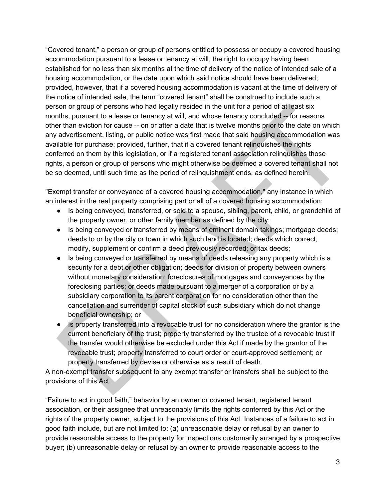"Covered tenant," a person or group of persons entitled to possess or occupy a covered housing accommodation pursuant to a lease or tenancy at will, the right to occupy having been established for no less than six months at the time of delivery of the notice of intended sale of a housing accommodation, or the date upon which said notice should have been delivered; provided, however, that if a covered housing accommodation is vacant at the time of delivery of the notice of intended sale, the term "covered tenant" shall be construed to include such a person or group of persons who had legally resided in the unit for a period of at least six months, pursuant to a lease or tenancy at will, and whose tenancy concluded -- for reasons other than eviction for cause -- on or after a date that is twelve months prior to the date on which any advertisement, listing, or public notice was first made that said housing accommodation was available for purchase; provided, further, that if a covered tenant relinquishes the rights conferred on them by this legislation, or if a registered tenant association relinquishes those rights, a person or group of persons who might otherwise be deemed a covered tenant shall not be so deemed, until such time as the period of relinquishment ends, as defined herein.

"Exempt transfer or conveyance of a covered housing accommodation," any instance in which an interest in the real property comprising part or all of a covered housing accommodation:

- Is being conveyed, transferred, or sold to a spouse, sibling, parent, child, or grandchild of the property owner, or other family member as defined by the city;
- Is being conveyed or transferred by means of eminent domain takings; mortgage deeds; deeds to or by the city or town in which such land is located; deeds which correct, modify, supplement or confirm a deed previously recorded; or tax deeds;
- Is being conveyed or transferred by means of deeds releasing any property which is a security for a debt or other obligation; deeds for division of property between owners without monetary consideration; foreclosures of mortgages and conveyances by the foreclosing parties; or deeds made pursuant to a merger of a corporation or by a subsidiary corporation to its parent corporation for no consideration other than the cancellation and surrender of capital stock of such subsidiary which do not change beneficial ownership; or
- Is property transferred into a revocable trust for no consideration where the grantor is the current beneficiary of the trust; property transferred by the trustee of a revocable trust if the transfer would otherwise be excluded under this Act if made by the grantor of the revocable trust; property transferred to court order or court-approved settlement; or property transferred by devise or otherwise as a result of death.

A non-exempt transfer subsequent to any exempt transfer or transfers shall be subject to the provisions of this Act.

"Failure to act in good faith," behavior by an owner or covered tenant, registered tenant association, or their assignee that unreasonably limits the rights conferred by this Act or the rights of the property owner, subject to the provisions of this Act. Instances of a failure to act in good faith include, but are not limited to: (a) unreasonable delay or refusal by an owner to provide reasonable access to the property for inspections customarily arranged by a prospective buyer; (b) unreasonable delay or refusal by an owner to provide reasonable access to the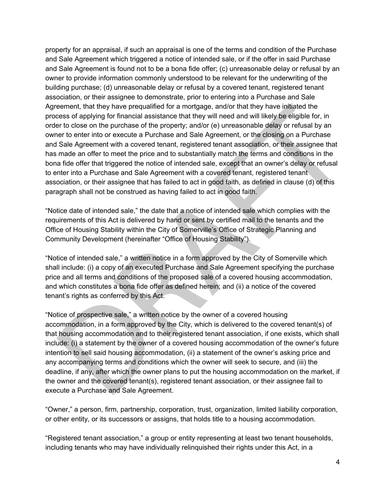property for an appraisal, if such an appraisal is one of the terms and condition of the Purchase and Sale Agreement which triggered a notice of intended sale, or if the offer in said Purchase and Sale Agreement is found not to be a bona fide offer; (c) unreasonable delay or refusal by an owner to provide information commonly understood to be relevant for the underwriting of the building purchase; (d) unreasonable delay or refusal by a covered tenant, registered tenant association, or their assignee to demonstrate, prior to entering into a Purchase and Sale Agreement, that they have prequalified for a mortgage, and/or that they have initiated the process of applying for financial assistance that they will need and will likely be eligible for, in order to close on the purchase of the property; and/or (e) unreasonable delay or refusal by an owner to enter into or execute a Purchase and Sale Agreement, or the closing on a Purchase and Sale Agreement with a covered tenant, registered tenant association, or their assignee that has made an offer to meet the price and to substantially match the terms and conditions in the bona fide offer that triggered the notice of intended sale, except that an owner's delay or refusal to enter into a Purchase and Sale Agreement with a covered tenant, registered tenant association, or their assignee that has failed to act in good faith, as defined in clause (d) of this paragraph shall not be construed as having failed to act in good faith.

"Notice date of intended sale," the date that a notice of intended sale which complies with the requirements of this Act is delivered by hand or sent by certified mail to the tenants and the Office of Housing Stability within the City of Somerville's Office of Strategic Planning and Community Development (hereinafter "Office of Housing Stability").

"Notice of intended sale," a written notice in a form approved by the City of Somerville which shall include: (i) a copy of an executed Purchase and Sale Agreement specifying the purchase price and all terms and conditions of the proposed sale of a covered housing accommodation, and which constitutes a bona fide offer as defined herein; and (ii) a notice of the covered tenant's rights as conferred by this Act.

"Notice of prospective sale," a written notice by the owner of a covered housing accommodation, in a form approved by the City, which is delivered to the covered tenant(s) of that housing accommodation and to their registered tenant association, if one exists, which shall include: (i) a statement by the owner of a covered housing accommodation of the owner's future intention to sell said housing accommodation, (ii) a statement of the owner's asking price and any accompanying terms and conditions which the owner will seek to secure, and (iii) the deadline, if any, after which the owner plans to put the housing accommodation on the market, if the owner and the covered tenant(s), registered tenant association, or their assignee fail to execute a Purchase and Sale Agreement.

"Owner," a person, firm, partnership, corporation, trust, organization, limited liability corporation, or other entity, or its successors or assigns, that holds title to a housing accommodation.

"Registered tenant association," a group or entity representing at least two tenant households, including tenants who may have individually relinquished their rights under this Act, in a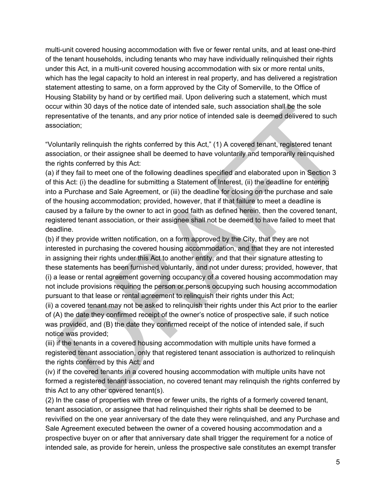multi-unit covered housing accommodation with five or fewer rental units, and at least one-third of the tenant households, including tenants who may have individually relinquished their rights under this Act, in a multi-unit covered housing accommodation with six or more rental units, which has the legal capacity to hold an interest in real property, and has delivered a registration statement attesting to same, on a form approved by the City of Somerville, to the Office of Housing Stability by hand or by certified mail. Upon delivering such a statement, which must occur within 30 days of the notice date of intended sale, such association shall be the sole representative of the tenants, and any prior notice of intended sale is deemed delivered to such association;

"Voluntarily relinquish the rights conferred by this Act," (1) A covered tenant, registered tenant association, or their assignee shall be deemed to have voluntarily and temporarily relinquished the rights conferred by this Act:

(a) if they fail to meet one of the following deadlines specified and elaborated upon in Section 3 of this Act: (i) the deadline for submitting a Statement of Interest, (ii) the deadline for entering into a Purchase and Sale Agreement, or (iii) the deadline for closing on the purchase and sale of the housing accommodation; provided, however, that if that failure to meet a deadline is caused by a failure by the owner to act in good faith as defined herein, then the covered tenant, registered tenant association, or their assignee shall not be deemed to have failed to meet that deadline.

(b) if they provide written notification, on a form approved by the City, that they are not interested in purchasing the covered housing accommodation, and that they are not interested in assigning their rights under this Act to another entity, and that their signature attesting to these statements has been furnished voluntarily, and not under duress; provided, however, that (i) a lease or rental agreement governing occupancy of a covered housing accommodation may not include provisions requiring the person or persons occupying such housing accommodation pursuant to that lease or rental agreement to relinquish their rights under this Act;

(ii) a covered tenant may not be asked to relinquish their rights under this Act prior to the earlier of (A) the date they confirmed receipt of the owner's notice of prospective sale, if such notice was provided, and (B) the date they confirmed receipt of the notice of intended sale, if such notice was provided;

(iii) if the tenants in a covered housing accommodation with multiple units have formed a registered tenant association, only that registered tenant association is authorized to relinquish the rights conferred by this Act; and

(iv) if the covered tenants in a covered housing accommodation with multiple units have not formed a registered tenant association, no covered tenant may relinquish the rights conferred by this Act to any other covered tenant(s).

(2) In the case of properties with three or fewer units, the rights of a formerly covered tenant, tenant association, or assignee that had relinquished their rights shall be deemed to be revivified on the one year anniversary of the date they were relinquished, and any Purchase and Sale Agreement executed between the owner of a covered housing accommodation and a prospective buyer on or after that anniversary date shall trigger the requirement for a notice of intended sale, as provide for herein, unless the prospective sale constitutes an exempt transfer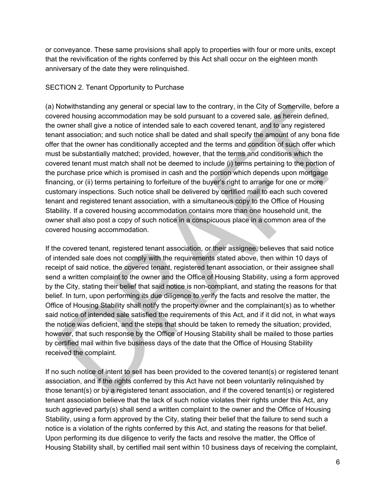or conveyance. These same provisions shall apply to properties with four or more units, except that the revivification of the rights conferred by this Act shall occur on the eighteen month anniversary of the date they were relinquished.

## SECTION 2. Tenant Opportunity to Purchase

(a) Notwithstanding any general or special law to the contrary, in the City of Somerville, before a covered housing accommodation may be sold pursuant to a covered sale, as herein defined, the owner shall give a notice of intended sale to each covered tenant, and to any registered tenant association; and such notice shall be dated and shall specify the amount of any bona fide offer that the owner has conditionally accepted and the terms and condition of such offer which must be substantially matched; provided, however, that the terms and conditions which the covered tenant must match shall not be deemed to include (i) terms pertaining to the portion of the purchase price which is promised in cash and the portion which depends upon mortgage financing, or (ii) terms pertaining to forfeiture of the buyer's right to arrange for one or more customary inspections. Such notice shall be delivered by certified mail to each such covered tenant and registered tenant association, with a simultaneous copy to the Office of Housing Stability. If a covered housing accommodation contains more than one household unit, the owner shall also post a copy of such notice in a conspicuous place in a common area of the covered housing accommodation.

If the covered tenant, registered tenant association, or their assignee, believes that said notice of intended sale does not comply with the requirements stated above, then within 10 days of receipt of said notice, the covered tenant, registered tenant association, or their assignee shall send a written complaint to the owner and the Office of Housing Stability, using a form approved by the City, stating their belief that said notice is non-compliant, and stating the reasons for that belief. In turn, upon performing its due diligence to verify the facts and resolve the matter, the Office of Housing Stability shall notify the property owner and the complainant(s) as to whether said notice of intended sale satisfied the requirements of this Act, and if it did not, in what ways the notice was deficient, and the steps that should be taken to remedy the situation; provided, however, that such response by the Office of Housing Stability shall be mailed to those parties by certified mail within five business days of the date that the Office of Housing Stability received the complaint.

If no such notice of intent to sell has been provided to the covered tenant(s) or registered tenant association, and if the rights conferred by this Act have not been voluntarily relinquished by those tenant(s) or by a registered tenant association, and if the covered tenant(s) or registered tenant association believe that the lack of such notice violates their rights under this Act, any such aggrieved party(s) shall send a written complaint to the owner and the Office of Housing Stability, using a form approved by the City, stating their belief that the failure to send such a notice is a violation of the rights conferred by this Act, and stating the reasons for that belief. Upon performing its due diligence to verify the facts and resolve the matter, the Office of Housing Stability shall, by certified mail sent within 10 business days of receiving the complaint,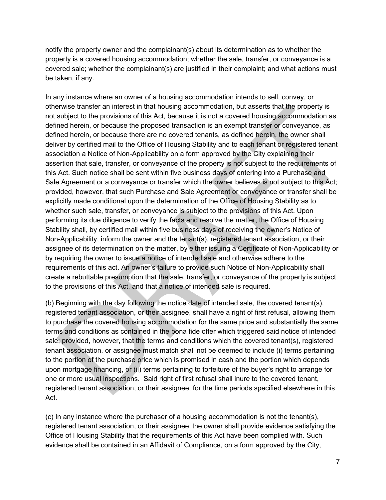notify the property owner and the complainant(s) about its determination as to whether the property is a covered housing accommodation; whether the sale, transfer, or conveyance is a covered sale; whether the complainant(s) are justified in their complaint; and what actions must be taken, if any.

In any instance where an owner of a housing accommodation intends to sell, convey, or otherwise transfer an interest in that housing accommodation, but asserts that the property is not subject to the provisions of this Act, because it is not a covered housing accommodation as defined herein, or because the proposed transaction is an exempt transfer or conveyance, as defined herein, or because there are no covered tenants, as defined herein, the owner shall deliver by certified mail to the Office of Housing Stability and to each tenant or registered tenant association a Notice of Non-Applicability on a form approved by the City explaining their assertion that sale, transfer, or conveyance of the property is not subject to the requirements of this Act. Such notice shall be sent within five business days of entering into a Purchase and Sale Agreement or a conveyance or transfer which the owner believes is not subject to this Act; provided, however, that such Purchase and Sale Agreement or conveyance or transfer shall be explicitly made conditional upon the determination of the Office of Housing Stability as to whether such sale, transfer, or conveyance is subject to the provisions of this Act. Upon performing its due diligence to verify the facts and resolve the matter, the Office of Housing Stability shall, by certified mail within five business days of receiving the owner's Notice of Non-Applicability, inform the owner and the tenant(s), registered tenant association, or their assignee of its determination on the matter, by either issuing a Certificate of Non-Applicability or by requiring the owner to issue a notice of intended sale and otherwise adhere to the requirements of this act. An owner's failure to provide such Notice of Non-Applicability shall create a rebuttable presumption that the sale, transfer, or conveyance of the property is subject to the provisions of this Act, and that a notice of intended sale is required.

(b) Beginning with the day following the notice date of intended sale, the covered tenant(s), registered tenant association, or their assignee, shall have a right of first refusal, allowing them to purchase the covered housing accommodation for the same price and substantially the same terms and conditions as contained in the bona fide offer which triggered said notice of intended sale; provided, however, that the terms and conditions which the covered tenant(s), registered tenant association, or assignee must match shall not be deemed to include (i) terms pertaining to the portion of the purchase price which is promised in cash and the portion which depends upon mortgage financing, or (ii) terms pertaining to forfeiture of the buyer's right to arrange for one or more usual inspections. Said right of first refusal shall inure to the covered tenant, registered tenant association, or their assignee, for the time periods specified elsewhere in this Act.

(c) In any instance where the purchaser of a housing accommodation is not the tenant(s), registered tenant association, or their assignee, the owner shall provide evidence satisfying the Office of Housing Stability that the requirements of this Act have been complied with. Such evidence shall be contained in an Affidavit of Compliance, on a form approved by the City,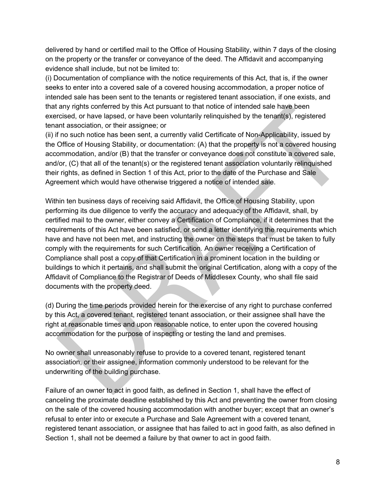delivered by hand or certified mail to the Office of Housing Stability, within 7 days of the closing on the property or the transfer or conveyance of the deed. The Affidavit and accompanying evidence shall include, but not be limited to:

(i) Documentation of compliance with the notice requirements of this Act, that is, if the owner seeks to enter into a covered sale of a covered housing accommodation, a proper notice of intended sale has been sent to the tenants or registered tenant association, if one exists, and that any rights conferred by this Act pursuant to that notice of intended sale have been exercised, or have lapsed, or have been voluntarily relinquished by the tenant(s), registered tenant association, or their assignee; or

(ii) if no such notice has been sent, a currently valid Certificate of Non-Applicability, issued by the Office of Housing Stability, or documentation: (A) that the property is not a covered housing accommodation, and/or (B) that the transfer or conveyance does not constitute a covered sale, and/or, (C) that all of the tenant(s) or the registered tenant association voluntarily relinquished their rights, as defined in Section 1 of this Act, prior to the date of the Purchase and Sale Agreement which would have otherwise triggered a notice of intended sale.

Within ten business days of receiving said Affidavit, the Office of Housing Stability, upon performing its due diligence to verify the accuracy and adequacy of the Affidavit, shall, by certified mail to the owner, either convey a Certification of Compliance, if it determines that the requirements of this Act have been satisfied, or send a letter identifying the requirements which have and have not been met, and instructing the owner on the steps that must be taken to fully comply with the requirements for such Certification. An owner receiving a Certification of Compliance shall post a copy of that Certification in a prominent location in the building or buildings to which it pertains, and shall submit the original Certification, along with a copy of the Affidavit of Compliance to the Registrar of Deeds of Middlesex County, who shall file said documents with the property deed.

(d) During the time periods provided herein for the exercise of any right to purchase conferred by this Act, a covered tenant, registered tenant association, or their assignee shall have the right at reasonable times and upon reasonable notice, to enter upon the covered housing accommodation for the purpose of inspecting or testing the land and premises.

No owner shall unreasonably refuse to provide to a covered tenant, registered tenant association, or their assignee, information commonly understood to be relevant for the underwriting of the building purchase.

Failure of an owner to act in good faith, as defined in Section 1, shall have the effect of canceling the proximate deadline established by this Act and preventing the owner from closing on the sale of the covered housing accommodation with another buyer; except that an owner's refusal to enter into or execute a Purchase and Sale Agreement with a covered tenant, registered tenant association, or assignee that has failed to act in good faith, as also defined in Section 1, shall not be deemed a failure by that owner to act in good faith.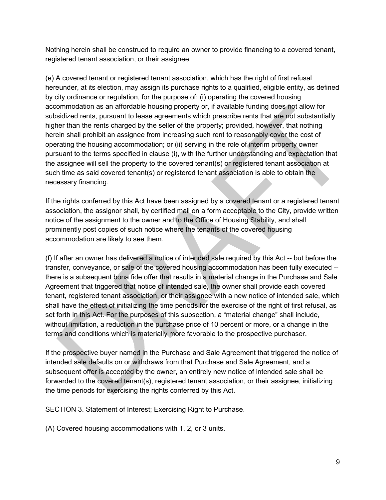Nothing herein shall be construed to require an owner to provide financing to a covered tenant, registered tenant association, or their assignee.

(e) A covered tenant or registered tenant association, which has the right of first refusal hereunder, at its election, may assign its purchase rights to a qualified, eligible entity, as defined by city ordinance or regulation, for the purpose of: (i) operating the covered housing accommodation as an affordable housing property or, if available funding does not allow for subsidized rents, pursuant to lease agreements which prescribe rents that are not substantially higher than the rents charged by the seller of the property; provided, however, that nothing herein shall prohibit an assignee from increasing such rent to reasonably cover the cost of operating the housing accommodation; or (ii) serving in the role of interim property owner pursuant to the terms specified in clause (i), with the further understanding and expectation that the assignee will sell the property to the covered tenant(s) or registered tenant association at such time as said covered tenant(s) or registered tenant association is able to obtain the necessary financing.

If the rights conferred by this Act have been assigned by a covered tenant or a registered tenant association, the assignor shall, by certified mail on a form acceptable to the City, provide written notice of the assignment to the owner and to the Office of Housing Stability, and shall prominently post copies of such notice where the tenants of the covered housing accommodation are likely to see them.

(f) If after an owner has delivered a notice of intended sale required by this Act -- but before the transfer, conveyance, or sale of the covered housing accommodation has been fully executed - there is a subsequent bona fide offer that results in a material change in the Purchase and Sale Agreement that triggered that notice of intended sale, the owner shall provide each covered tenant, registered tenant association, or their assignee with a new notice of intended sale, which shall have the effect of initializing the time periods for the exercise of the right of first refusal, as set forth in this Act. For the purposes of this subsection, a "material change" shall include, without limitation, a reduction in the purchase price of 10 percent or more, or a change in the terms and conditions which is materially more favorable to the prospective purchaser.

If the prospective buyer named in the Purchase and Sale Agreement that triggered the notice of intended sale defaults on or withdraws from that Purchase and Sale Agreement, and a subsequent offer is accepted by the owner, an entirely new notice of intended sale shall be forwarded to the covered tenant(s), registered tenant association, or their assignee, initializing the time periods for exercising the rights conferred by this Act.

SECTION 3. Statement of Interest; Exercising Right to Purchase.

(A) Covered housing accommodations with 1, 2, or 3 units.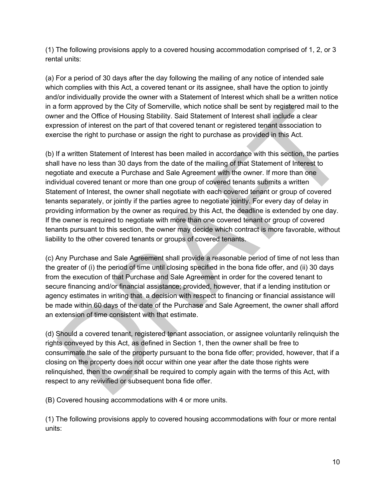(1) The following provisions apply to a covered housing accommodation comprised of 1, 2, or 3 rental units:

(a) For a period of 30 days after the day following the mailing of any notice of intended sale which complies with this Act, a covered tenant or its assignee, shall have the option to jointly and/or individually provide the owner with a Statement of Interest which shall be a written notice in a form approved by the City of Somerville, which notice shall be sent by registered mail to the owner and the Office of Housing Stability. Said Statement of Interest shall include a clear expression of interest on the part of that covered tenant or registered tenant association to exercise the right to purchase or assign the right to purchase as provided in this Act.

(b) If a written Statement of Interest has been mailed in accordance with this section, the parties shall have no less than 30 days from the date of the mailing of that Statement of Interest to negotiate and execute a Purchase and Sale Agreement with the owner. If more than one individual covered tenant or more than one group of covered tenants submits a written Statement of Interest, the owner shall negotiate with each covered tenant or group of covered tenants separately, or jointly if the parties agree to negotiate jointly. For every day of delay in providing information by the owner as required by this Act, the deadline is extended by one day. If the owner is required to negotiate with more than one covered tenant or group of covered tenants pursuant to this section, the owner may decide which contract is more favorable, without liability to the other covered tenants or groups of covered tenants.

(c) Any Purchase and Sale Agreement shall provide a reasonable period of time of not less than the greater of (i) the period of time until closing specified in the bona fide offer, and (ii) 30 days from the execution of that Purchase and Sale Agreement in order for the covered tenant to secure financing and/or financial assistance; provided, however, that if a lending institution or agency estimates in writing that a decision with respect to financing or financial assistance will be made within 60 days of the date of the Purchase and Sale Agreement, the owner shall afford an extension of time consistent with that estimate.

(d) Should a covered tenant, registered tenant association, or assignee voluntarily relinquish the rights conveyed by this Act, as defined in Section 1, then the owner shall be free to consummate the sale of the property pursuant to the bona fide offer; provided, however, that if a closing on the property does not occur within one year after the date those rights were relinquished, then the owner shall be required to comply again with the terms of this Act, with respect to any revivified or subsequent bona fide offer.

(B) Covered housing accommodations with 4 or more units.

(1) The following provisions apply to covered housing accommodations with four or more rental units: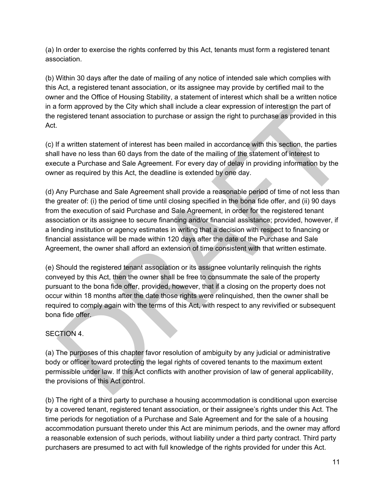(a) In order to exercise the rights conferred by this Act, tenants must form a registered tenant association.

(b) Within 30 days after the date of mailing of any notice of intended sale which complies with this Act, a registered tenant association, or its assignee may provide by certified mail to the owner and the Office of Housing Stability, a statement of interest which shall be a written notice in a form approved by the City which shall include a clear expression of interest on the part of the registered tenant association to purchase or assign the right to purchase as provided in this Act.

(c) If a written statement of interest has been mailed in accordance with this section, the parties shall have no less than 60 days from the date of the mailing of the statement of interest to execute a Purchase and Sale Agreement. For every day of delay in providing information by the owner as required by this Act, the deadline is extended by one day.

(d) Any Purchase and Sale Agreement shall provide a reasonable period of time of not less than the greater of: (i) the period of time until closing specified in the bona fide offer, and (ii) 90 days from the execution of said Purchase and Sale Agreement, in order for the registered tenant association or its assignee to secure financing and/or financial assistance; provided, however, if a lending institution or agency estimates in writing that a decision with respect to financing or financial assistance will be made within 120 days after the date of the Purchase and Sale Agreement, the owner shall afford an extension of time consistent with that written estimate.

(e) Should the registered tenant association or its assignee voluntarily relinquish the rights conveyed by this Act, then the owner shall be free to consummate the sale of the property pursuant to the bona fide offer, provided, however, that if a closing on the property does not occur within 18 months after the date those rights were relinquished, then the owner shall be required to comply again with the terms of this Act, with respect to any revivified or subsequent bona fide offer.

SECTION 4.

(a) The purposes of this chapter favor resolution of ambiguity by any judicial or administrative body or officer toward protecting the legal rights of covered tenants to the maximum extent permissible under law. If this Act conflicts with another provision of law of general applicability, the provisions of this Act control.

(b) The right of a third party to purchase a housing accommodation is conditional upon exercise by a covered tenant, registered tenant association, or their assignee's rights under this Act. The time periods for negotiation of a Purchase and Sale Agreement and for the sale of a housing accommodation pursuant thereto under this Act are minimum periods, and the owner may afford a reasonable extension of such periods, without liability under a third party contract. Third party purchasers are presumed to act with full knowledge of the rights provided for under this Act.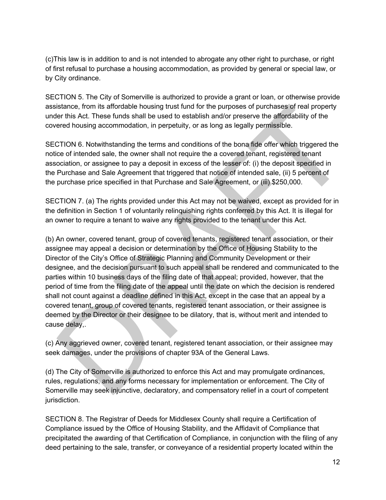(c)This law is in addition to and is not intended to abrogate any other right to purchase, or right of first refusal to purchase a housing accommodation, as provided by general or special law, or by City ordinance.

SECTION 5. The City of Somerville is authorized to provide a grant or loan, or otherwise provide assistance, from its affordable housing trust fund for the purposes of purchases of real property under this Act. These funds shall be used to establish and/or preserve the affordability of the covered housing accommodation, in perpetuity, or as long as legally permissible.

SECTION 6. Notwithstanding the terms and conditions of the bona fide offer which triggered the notice of intended sale, the owner shall not require the a covered tenant, registered tenant association, or assignee to pay a deposit in excess of the lesser of: (i) the deposit specified in the Purchase and Sale Agreement that triggered that notice of intended sale, (ii) 5 percent of the purchase price specified in that Purchase and Sale Agreement, or (iii) \$250,000.

SECTION 7. (a) The rights provided under this Act may not be waived, except as provided for in the definition in Section 1 of voluntarily relinquishing rights conferred by this Act. It is illegal for an owner to require a tenant to waive any rights provided to the tenant under this Act.

(b) An owner, covered tenant, group of covered tenants, registered tenant association, or their assignee may appeal a decision or determination by the Office of Housing Stability to the Director of the City's Office of Strategic Planning and Community Development or their designee, and the decision pursuant to such appeal shall be rendered and communicated to the parties within 10 business days of the filing date of that appeal; provided, however, that the period of time from the filing date of the appeal until the date on which the decision is rendered shall not count against a deadline defined in this Act, except in the case that an appeal by a covered tenant, group of covered tenants, registered tenant association, or their assignee is deemed by the Director or their designee to be dilatory, that is, without merit and intended to cause delay,.

(c) Any aggrieved owner, covered tenant, registered tenant association, or their assignee may seek damages, under the provisions of chapter 93A of the General Laws.

(d) The City of Somerville is authorized to enforce this Act and may promulgate ordinances, rules, regulations, and any forms necessary for implementation or enforcement. The City of Somerville may seek injunctive, declaratory, and compensatory relief in a court of competent jurisdiction.

SECTION 8. The Registrar of Deeds for Middlesex County shall require a Certification of Compliance issued by the Office of Housing Stability, and the Affidavit of Compliance that precipitated the awarding of that Certification of Compliance, in conjunction with the filing of any deed pertaining to the sale, transfer, or conveyance of a residential property located within the